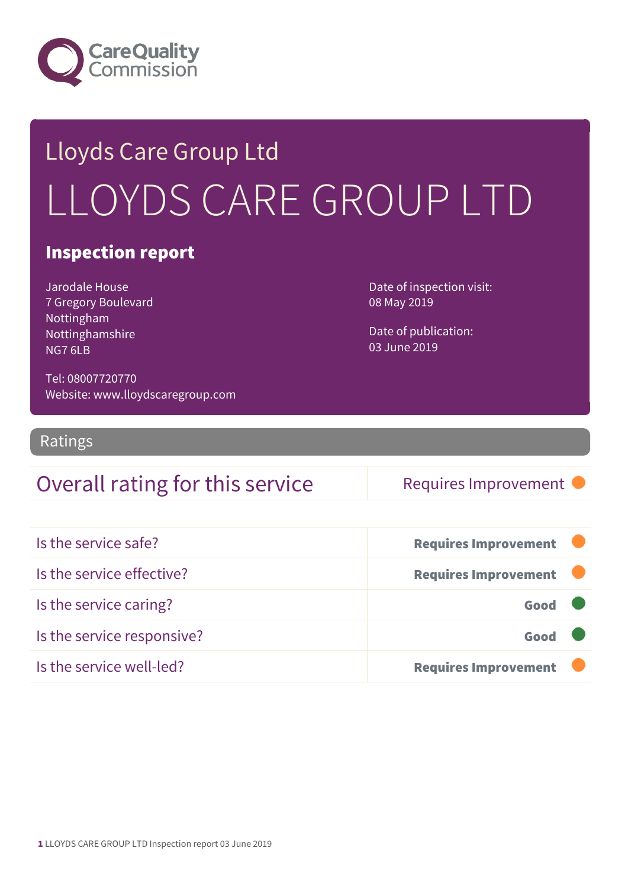

## Lloyds Care Group Ltd LLOYDS CARE GROUP LTD

#### Inspection report

Jarodale House 7 Gregory Boulevard Nottingham Nottinghamshire NG7 6LB

Tel: 08007720770 Website: www.lloydscaregroup.com Date of inspection visit: 08 May 2019

Date of publication: 03 June 2019

Ratings

### Overall rating for this service Requires Improvement

| Is the service safe?       | <b>Requires Improvement</b> |
|----------------------------|-----------------------------|
| Is the service effective?  | <b>Requires Improvement</b> |
| Is the service caring?     | Good                        |
| Is the service responsive? | Good                        |
| Is the service well-led?   | <b>Requires Improvement</b> |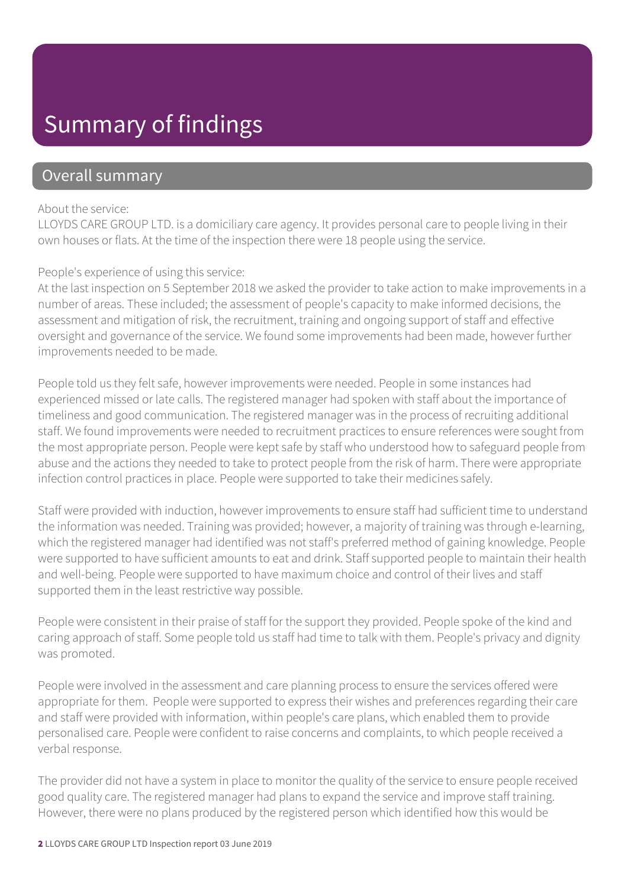### Summary of findings

#### Overall summary

#### About the service:

LLOYDS CARE GROUP LTD. is a domiciliary care agency. It provides personal care to people living in their own houses or flats. At the time of the inspection there were 18 people using the service.

#### People's experience of using this service:

At the last inspection on 5 September 2018 we asked the provider to take action to make improvements in a number of areas. These included; the assessment of people's capacity to make informed decisions, the assessment and mitigation of risk, the recruitment, training and ongoing support of staff and effective oversight and governance of the service. We found some improvements had been made, however further improvements needed to be made.

People told us they felt safe, however improvements were needed. People in some instances had experienced missed or late calls. The registered manager had spoken with staff about the importance of timeliness and good communication. The registered manager was in the process of recruiting additional staff. We found improvements were needed to recruitment practices to ensure references were sought from the most appropriate person. People were kept safe by staff who understood how to safeguard people from abuse and the actions they needed to take to protect people from the risk of harm. There were appropriate infection control practices in place. People were supported to take their medicines safely.

Staff were provided with induction, however improvements to ensure staff had sufficient time to understand the information was needed. Training was provided; however, a majority of training was through e-learning, which the registered manager had identified was not staff's preferred method of gaining knowledge. People were supported to have sufficient amounts to eat and drink. Staff supported people to maintain their health and well-being. People were supported to have maximum choice and control of their lives and staff supported them in the least restrictive way possible.

People were consistent in their praise of staff for the support they provided. People spoke of the kind and caring approach of staff. Some people told us staff had time to talk with them. People's privacy and dignity was promoted.

People were involved in the assessment and care planning process to ensure the services offered were appropriate for them. People were supported to express their wishes and preferences regarding their care and staff were provided with information, within people's care plans, which enabled them to provide personalised care. People were confident to raise concerns and complaints, to which people received a verbal response.

The provider did not have a system in place to monitor the quality of the service to ensure people received good quality care. The registered manager had plans to expand the service and improve staff training. However, there were no plans produced by the registered person which identified how this would be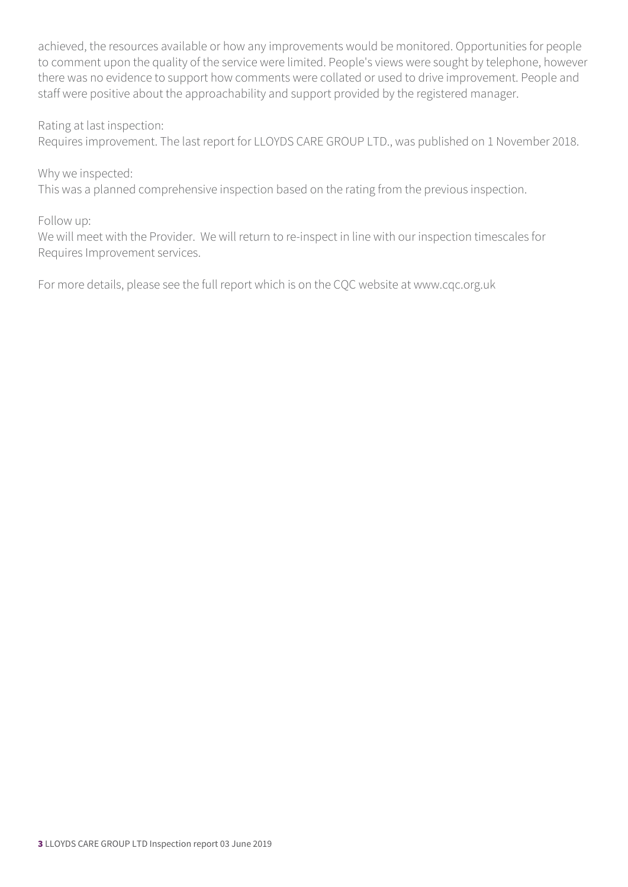achieved, the resources available or how any improvements would be monitored. Opportunities for people to comment upon the quality of the service were limited. People's views were sought by telephone, however there was no evidence to support how comments were collated or used to drive improvement. People and staff were positive about the approachability and support provided by the registered manager.

Rating at last inspection:

Requires improvement. The last report for LLOYDS CARE GROUP LTD., was published on 1 November 2018.

Why we inspected:

This was a planned comprehensive inspection based on the rating from the previous inspection.

Follow up:

We will meet with the Provider. We will return to re-inspect in line with our inspection timescales for Requires Improvement services.

For more details, please see the full report which is on the CQC website at www.cqc.org.uk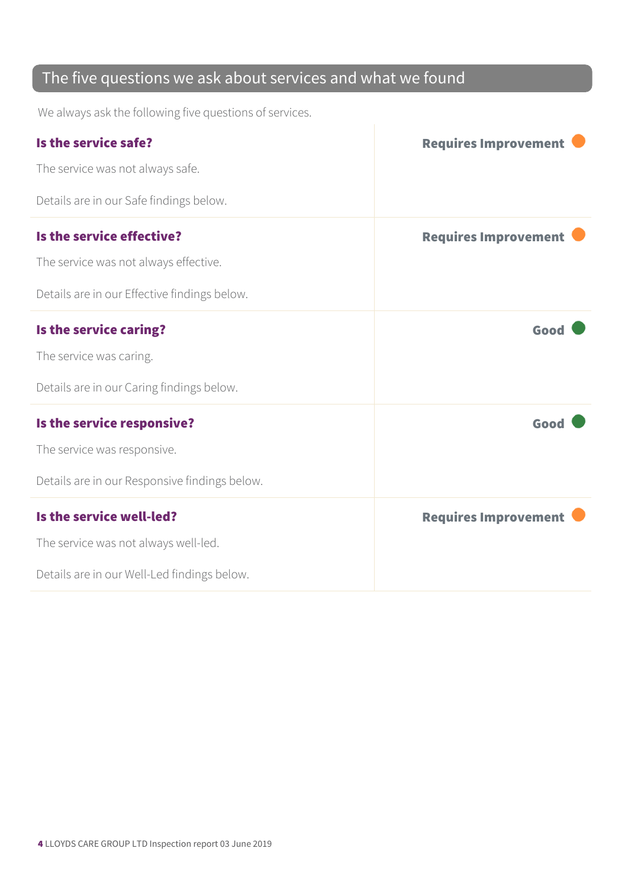### The five questions we ask about services and what we found

We always ask the following five questions of services.

| Is the service safe?                          | <b>Requires Improvement</b> |
|-----------------------------------------------|-----------------------------|
| The service was not always safe.              |                             |
| Details are in our Safe findings below.       |                             |
| Is the service effective?                     | <b>Requires Improvement</b> |
| The service was not always effective.         |                             |
| Details are in our Effective findings below.  |                             |
| Is the service caring?                        | Good                        |
| The service was caring.                       |                             |
| Details are in our Caring findings below.     |                             |
| Is the service responsive?                    | Good                        |
| The service was responsive.                   |                             |
| Details are in our Responsive findings below. |                             |
| Is the service well-led?                      | <b>Requires Improvement</b> |
| The service was not always well-led.          |                             |
| Details are in our Well-Led findings below.   |                             |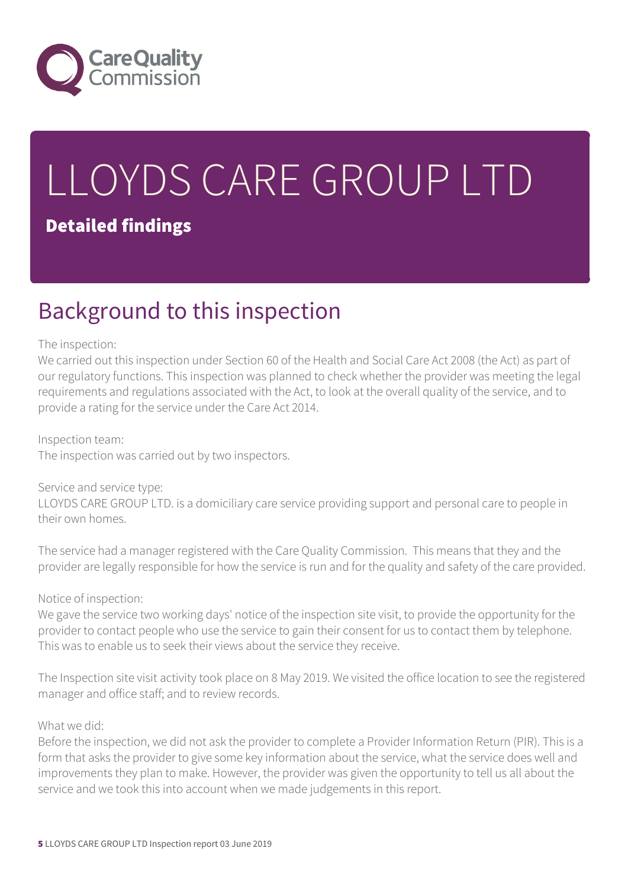

# LLOYDS CARE GROUP LTD

#### Detailed findings

### Background to this inspection

#### The inspection:

We carried out this inspection under Section 60 of the Health and Social Care Act 2008 (the Act) as part of our regulatory functions. This inspection was planned to check whether the provider was meeting the legal requirements and regulations associated with the Act, to look at the overall quality of the service, and to provide a rating for the service under the Care Act 2014.

#### Inspection team:

The inspection was carried out by two inspectors.

#### Service and service type:

LLOYDS CARE GROUP LTD. is a domiciliary care service providing support and personal care to people in their own homes.

The service had a manager registered with the Care Quality Commission. This means that they and the provider are legally responsible for how the service is run and for the quality and safety of the care provided.

#### Notice of inspection:

We gave the service two working days' notice of the inspection site visit, to provide the opportunity for the provider to contact people who use the service to gain their consent for us to contact them by telephone. This was to enable us to seek their views about the service they receive.

The Inspection site visit activity took place on 8 May 2019. We visited the office location to see the registered manager and office staff; and to review records.

#### What we did:

Before the inspection, we did not ask the provider to complete a Provider Information Return (PIR). This is a form that asks the provider to give some key information about the service, what the service does well and improvements they plan to make. However, the provider was given the opportunity to tell us all about the service and we took this into account when we made judgements in this report.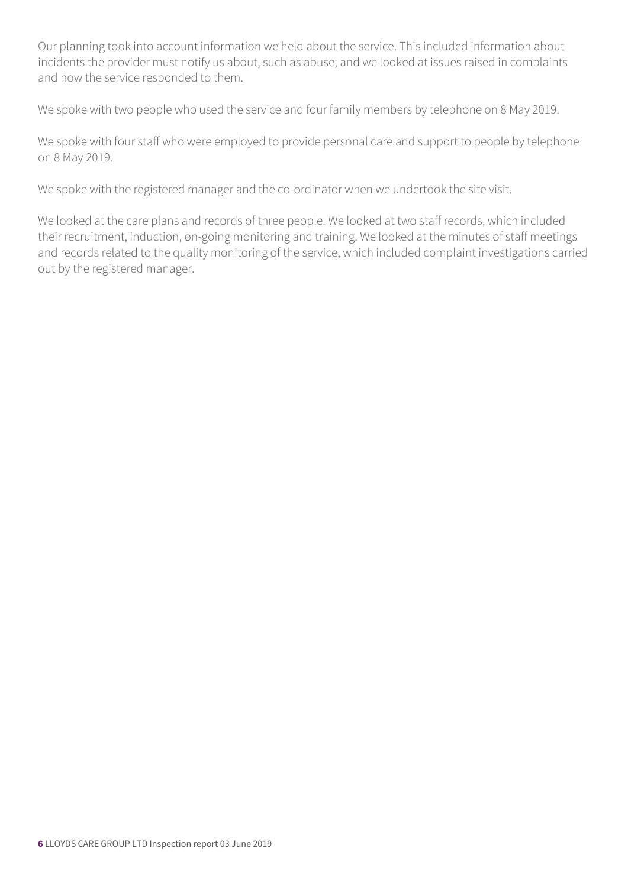Our planning took into account information we held about the service. This included information about incidents the provider must notify us about, such as abuse; and we looked at issues raised in complaints and how the service responded to them.

We spoke with two people who used the service and four family members by telephone on 8 May 2019.

We spoke with four staff who were employed to provide personal care and support to people by telephone on 8 May 2019.

We spoke with the registered manager and the co-ordinator when we undertook the site visit.

We looked at the care plans and records of three people. We looked at two staff records, which included their recruitment, induction, on-going monitoring and training. We looked at the minutes of staff meetings and records related to the quality monitoring of the service, which included complaint investigations carried out by the registered manager.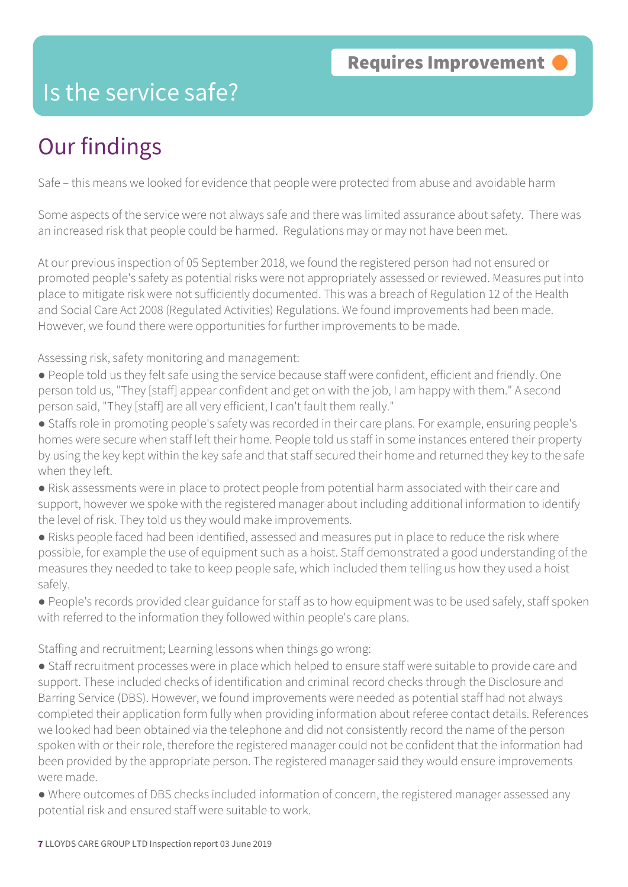### Is the service safe?

### Our findings

Safe – this means we looked for evidence that people were protected from abuse and avoidable harm

Some aspects of the service were not always safe and there was limited assurance about safety. There was an increased risk that people could be harmed. Regulations may or may not have been met.

At our previous inspection of 05 September 2018, we found the registered person had not ensured or promoted people's safety as potential risks were not appropriately assessed or reviewed. Measures put into place to mitigate risk were not sufficiently documented. This was a breach of Regulation 12 of the Health and Social Care Act 2008 (Regulated Activities) Regulations. We found improvements had been made. However, we found there were opportunities for further improvements to be made.

Assessing risk, safety monitoring and management:

- People told us they felt safe using the service because staff were confident, efficient and friendly. One person told us, "They [staff] appear confident and get on with the job, I am happy with them." A second person said, "They [staff] are all very efficient, I can't fault them really."
- Staffs role in promoting people's safety was recorded in their care plans. For example, ensuring people's homes were secure when staff left their home. People told us staff in some instances entered their property by using the key kept within the key safe and that staff secured their home and returned they key to the safe when they left.
- Risk assessments were in place to protect people from potential harm associated with their care and support, however we spoke with the registered manager about including additional information to identify the level of risk. They told us they would make improvements.
- Risks people faced had been identified, assessed and measures put in place to reduce the risk where possible, for example the use of equipment such as a hoist. Staff demonstrated a good understanding of the measures they needed to take to keep people safe, which included them telling us how they used a hoist safely.
- People's records provided clear guidance for staff as to how equipment was to be used safely, staff spoken with referred to the information they followed within people's care plans.

Staffing and recruitment; Learning lessons when things go wrong:

● Staff recruitment processes were in place which helped to ensure staff were suitable to provide care and support. These included checks of identification and criminal record checks through the Disclosure and Barring Service (DBS). However, we found improvements were needed as potential staff had not always completed their application form fully when providing information about referee contact details. References we looked had been obtained via the telephone and did not consistently record the name of the person spoken with or their role, therefore the registered manager could not be confident that the information had been provided by the appropriate person. The registered manager said they would ensure improvements were made.

● Where outcomes of DBS checks included information of concern, the registered manager assessed any potential risk and ensured staff were suitable to work.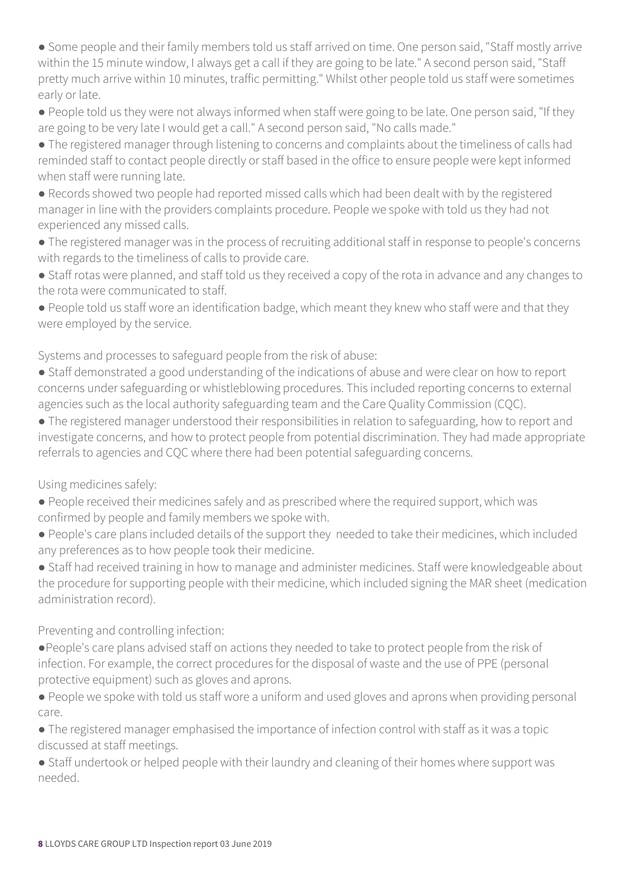● Some people and their family members told us staff arrived on time. One person said, "Staff mostly arrive within the 15 minute window, I always get a call if they are going to be late." A second person said, "Staff pretty much arrive within 10 minutes, traffic permitting." Whilst other people told us staff were sometimes early or late.

● People told us they were not always informed when staff were going to be late. One person said, "If they are going to be very late I would get a call." A second person said, "No calls made."

● The registered manager through listening to concerns and complaints about the timeliness of calls had reminded staff to contact people directly or staff based in the office to ensure people were kept informed when staff were running late.

● Records showed two people had reported missed calls which had been dealt with by the registered manager in line with the providers complaints procedure. People we spoke with told us they had not experienced any missed calls.

● The registered manager was in the process of recruiting additional staff in response to people's concerns with regards to the timeliness of calls to provide care.

● Staff rotas were planned, and staff told us they received a copy of the rota in advance and any changes to the rota were communicated to staff.

● People told us staff wore an identification badge, which meant they knew who staff were and that they were employed by the service.

Systems and processes to safeguard people from the risk of abuse:

● Staff demonstrated a good understanding of the indications of abuse and were clear on how to report concerns under safeguarding or whistleblowing procedures. This included reporting concerns to external agencies such as the local authority safeguarding team and the Care Quality Commission (CQC).

● The registered manager understood their responsibilities in relation to safeguarding, how to report and investigate concerns, and how to protect people from potential discrimination. They had made appropriate referrals to agencies and CQC where there had been potential safeguarding concerns.

Using medicines safely:

● People received their medicines safely and as prescribed where the required support, which was confirmed by people and family members we spoke with.

● People's care plans included details of the support they needed to take their medicines, which included any preferences as to how people took their medicine.

● Staff had received training in how to manage and administer medicines. Staff were knowledgeable about the procedure for supporting people with their medicine, which included signing the MAR sheet (medication administration record).

Preventing and controlling infection:

●People's care plans advised staff on actions they needed to take to protect people from the risk of infection. For example, the correct procedures for the disposal of waste and the use of PPE (personal protective equipment) such as gloves and aprons.

● People we spoke with told us staff wore a uniform and used gloves and aprons when providing personal care.

● The registered manager emphasised the importance of infection control with staff as it was a topic discussed at staff meetings.

• Staff undertook or helped people with their laundry and cleaning of their homes where support was needed.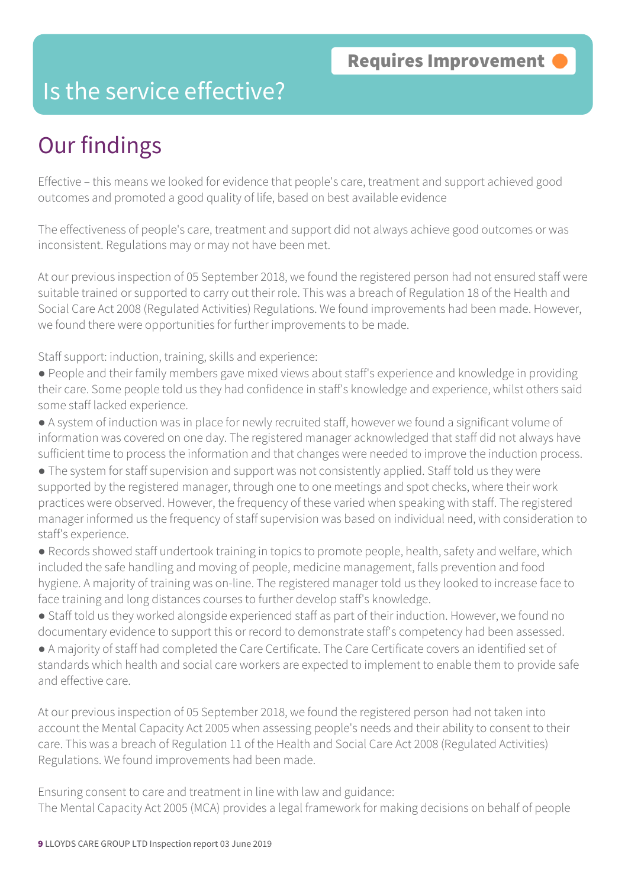### Is the service effective?

### Our findings

Effective – this means we looked for evidence that people's care, treatment and support achieved good outcomes and promoted a good quality of life, based on best available evidence

The effectiveness of people's care, treatment and support did not always achieve good outcomes or was inconsistent. Regulations may or may not have been met.

At our previous inspection of 05 September 2018, we found the registered person had not ensured staff were suitable trained or supported to carry out their role. This was a breach of Regulation 18 of the Health and Social Care Act 2008 (Regulated Activities) Regulations. We found improvements had been made. However, we found there were opportunities for further improvements to be made.

Staff support: induction, training, skills and experience:

- People and their family members gave mixed views about staff's experience and knowledge in providing their care. Some people told us they had confidence in staff's knowledge and experience, whilst others said some staff lacked experience.
- A system of induction was in place for newly recruited staff, however we found a significant volume of information was covered on one day. The registered manager acknowledged that staff did not always have sufficient time to process the information and that changes were needed to improve the induction process.
- The system for staff supervision and support was not consistently applied. Staff told us they were supported by the registered manager, through one to one meetings and spot checks, where their work practices were observed. However, the frequency of these varied when speaking with staff. The registered manager informed us the frequency of staff supervision was based on individual need, with consideration to staff's experience.
- Records showed staff undertook training in topics to promote people, health, safety and welfare, which included the safe handling and moving of people, medicine management, falls prevention and food hygiene. A majority of training was on-line. The registered manager told us they looked to increase face to face training and long distances courses to further develop staff's knowledge.
- Staff told us they worked alongside experienced staff as part of their induction. However, we found no documentary evidence to support this or record to demonstrate staff's competency had been assessed.
- A majority of staff had completed the Care Certificate. The Care Certificate covers an identified set of standards which health and social care workers are expected to implement to enable them to provide safe and effective care.

At our previous inspection of 05 September 2018, we found the registered person had not taken into account the Mental Capacity Act 2005 when assessing people's needs and their ability to consent to their care. This was a breach of Regulation 11 of the Health and Social Care Act 2008 (Regulated Activities) Regulations. We found improvements had been made.

Ensuring consent to care and treatment in line with law and guidance: The Mental Capacity Act 2005 (MCA) provides a legal framework for making decisions on behalf of people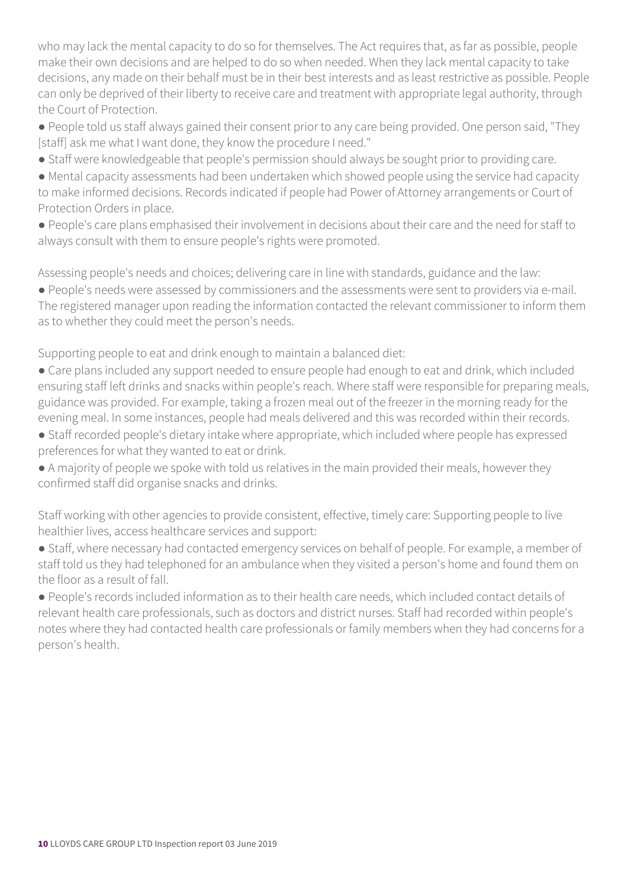who may lack the mental capacity to do so for themselves. The Act requires that, as far as possible, people make their own decisions and are helped to do so when needed. When they lack mental capacity to take decisions, any made on their behalf must be in their best interests and as least restrictive as possible. People can only be deprived of their liberty to receive care and treatment with appropriate legal authority, through the Court of Protection.

● People told us staff always gained their consent prior to any care being provided. One person said, "They [staff] ask me what I want done, they know the procedure I need."

● Staff were knowledgeable that people's permission should always be sought prior to providing care.

● Mental capacity assessments had been undertaken which showed people using the service had capacity to make informed decisions. Records indicated if people had Power of Attorney arrangements or Court of Protection Orders in place.

● People's care plans emphasised their involvement in decisions about their care and the need for staff to always consult with them to ensure people's rights were promoted.

Assessing people's needs and choices; delivering care in line with standards, guidance and the law:

● People's needs were assessed by commissioners and the assessments were sent to providers via e-mail. The registered manager upon reading the information contacted the relevant commissioner to inform them as to whether they could meet the person's needs.

Supporting people to eat and drink enough to maintain a balanced diet:

- Care plans included any support needed to ensure people had enough to eat and drink, which included ensuring staff left drinks and snacks within people's reach. Where staff were responsible for preparing meals, guidance was provided. For example, taking a frozen meal out of the freezer in the morning ready for the evening meal. In some instances, people had meals delivered and this was recorded within their records.
- Staff recorded people's dietary intake where appropriate, which included where people has expressed preferences for what they wanted to eat or drink.
- A majority of people we spoke with told us relatives in the main provided their meals, however they confirmed staff did organise snacks and drinks.

Staff working with other agencies to provide consistent, effective, timely care: Supporting people to live healthier lives, access healthcare services and support:

● Staff, where necessary had contacted emergency services on behalf of people. For example, a member of staff told us they had telephoned for an ambulance when they visited a person's home and found them on the floor as a result of fall.

● People's records included information as to their health care needs, which included contact details of relevant health care professionals, such as doctors and district nurses. Staff had recorded within people's notes where they had contacted health care professionals or family members when they had concerns for a person's health.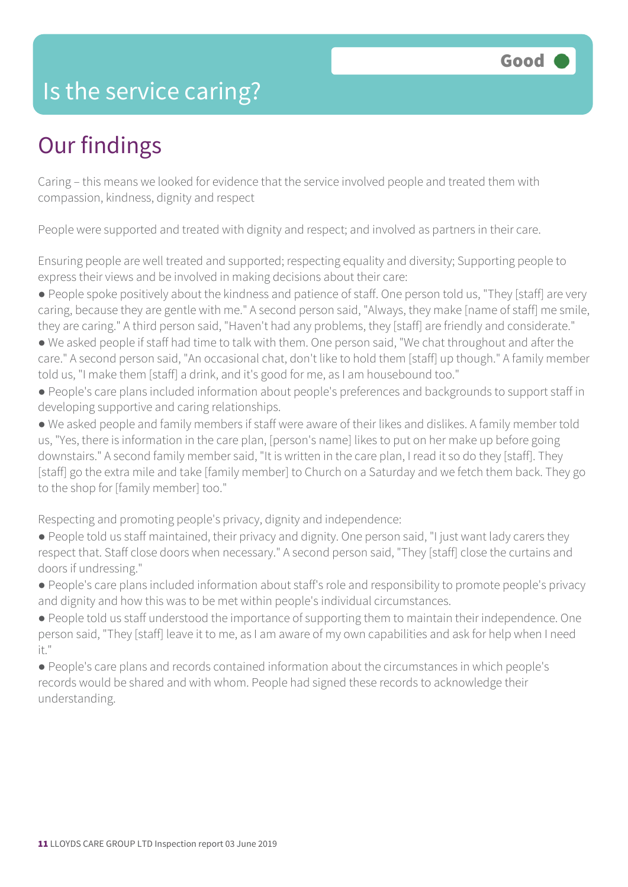### Is the service caring?

### Our findings

Caring – this means we looked for evidence that the service involved people and treated them with compassion, kindness, dignity and respect

People were supported and treated with dignity and respect; and involved as partners in their care.

Ensuring people are well treated and supported; respecting equality and diversity; Supporting people to express their views and be involved in making decisions about their care:

- People spoke positively about the kindness and patience of staff. One person told us, "They [staff] are very caring, because they are gentle with me." A second person said, "Always, they make [name of staff] me smile, they are caring." A third person said, "Haven't had any problems, they [staff] are friendly and considerate."
- We asked people if staff had time to talk with them. One person said, "We chat throughout and after the care." A second person said, "An occasional chat, don't like to hold them [staff] up though." A family member told us, "I make them [staff] a drink, and it's good for me, as I am housebound too."
- People's care plans included information about people's preferences and backgrounds to support staff in developing supportive and caring relationships.
- We asked people and family members if staff were aware of their likes and dislikes. A family member told us, "Yes, there is information in the care plan, [person's name] likes to put on her make up before going downstairs." A second family member said, "It is written in the care plan, I read it so do they [staff]. They [staff] go the extra mile and take [family member] to Church on a Saturday and we fetch them back. They go to the shop for [family member] too."

Respecting and promoting people's privacy, dignity and independence:

- People told us staff maintained, their privacy and dignity. One person said, "I just want lady carers they respect that. Staff close doors when necessary." A second person said, "They [staff] close the curtains and doors if undressing."
- People's care plans included information about staff's role and responsibility to promote people's privacy and dignity and how this was to be met within people's individual circumstances.
- People told us staff understood the importance of supporting them to maintain their independence. One person said, "They [staff] leave it to me, as I am aware of my own capabilities and ask for help when I need it."
- People's care plans and records contained information about the circumstances in which people's records would be shared and with whom. People had signed these records to acknowledge their understanding.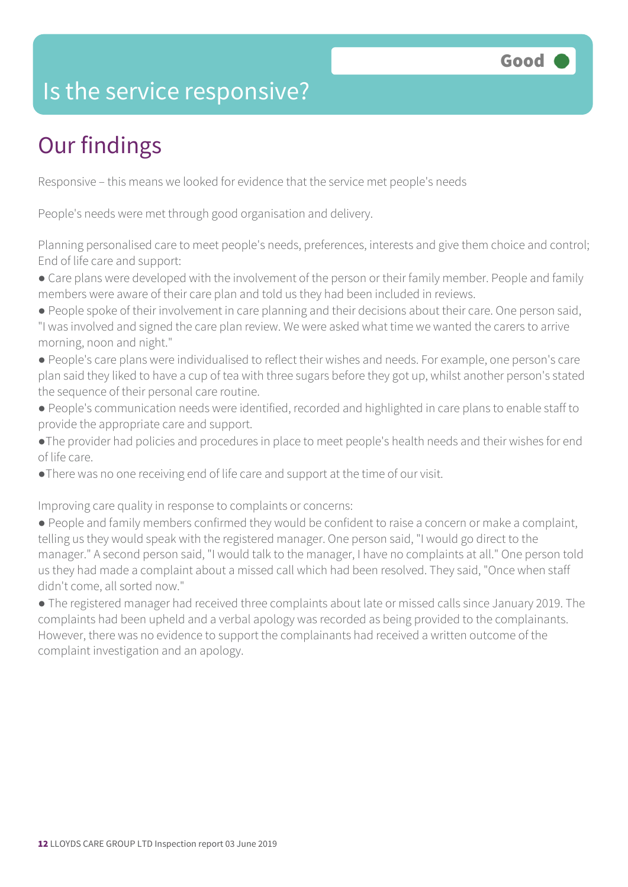### Is the service responsive?

### Our findings

Responsive – this means we looked for evidence that the service met people's needs

People's needs were met through good organisation and delivery.

Planning personalised care to meet people's needs, preferences, interests and give them choice and control; End of life care and support:

• Care plans were developed with the involvement of the person or their family member. People and family members were aware of their care plan and told us they had been included in reviews.

- People spoke of their involvement in care planning and their decisions about their care. One person said, "I was involved and signed the care plan review. We were asked what time we wanted the carers to arrive morning, noon and night."
- People's care plans were individualised to reflect their wishes and needs. For example, one person's care plan said they liked to have a cup of tea with three sugars before they got up, whilst another person's stated the sequence of their personal care routine.
- People's communication needs were identified, recorded and highlighted in care plans to enable staff to provide the appropriate care and support.
- ●The provider had policies and procedures in place to meet people's health needs and their wishes for end of life care.
- ●There was no one receiving end of life care and support at the time of our visit.

Improving care quality in response to complaints or concerns:

● People and family members confirmed they would be confident to raise a concern or make a complaint, telling us they would speak with the registered manager. One person said, "I would go direct to the manager." A second person said, "I would talk to the manager, I have no complaints at all." One person told us they had made a complaint about a missed call which had been resolved. They said, "Once when staff didn't come, all sorted now."

● The registered manager had received three complaints about late or missed calls since January 2019. The complaints had been upheld and a verbal apology was recorded as being provided to the complainants. However, there was no evidence to support the complainants had received a written outcome of the complaint investigation and an apology.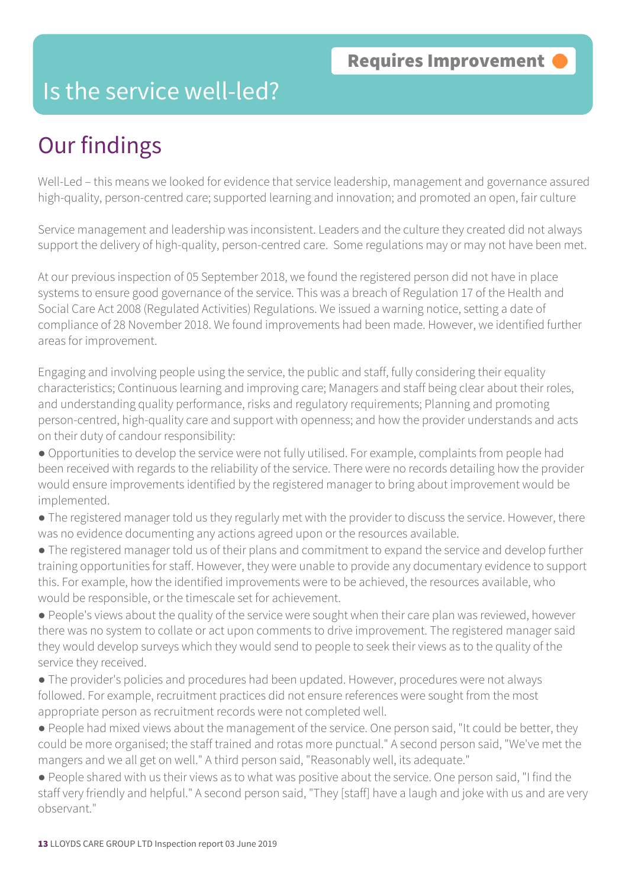### Is the service well-led?

### Our findings

Well-Led – this means we looked for evidence that service leadership, management and governance assured high-quality, person-centred care; supported learning and innovation; and promoted an open, fair culture

Service management and leadership was inconsistent. Leaders and the culture they created did not always support the delivery of high-quality, person-centred care. Some regulations may or may not have been met.

At our previous inspection of 05 September 2018, we found the registered person did not have in place systems to ensure good governance of the service. This was a breach of Regulation 17 of the Health and Social Care Act 2008 (Regulated Activities) Regulations. We issued a warning notice, setting a date of compliance of 28 November 2018. We found improvements had been made. However, we identified further areas for improvement.

Engaging and involving people using the service, the public and staff, fully considering their equality characteristics; Continuous learning and improving care; Managers and staff being clear about their roles, and understanding quality performance, risks and regulatory requirements; Planning and promoting person-centred, high-quality care and support with openness; and how the provider understands and acts on their duty of candour responsibility:

● Opportunities to develop the service were not fully utilised. For example, complaints from people had been received with regards to the reliability of the service. There were no records detailing how the provider would ensure improvements identified by the registered manager to bring about improvement would be implemented.

● The registered manager told us they regularly met with the provider to discuss the service. However, there was no evidence documenting any actions agreed upon or the resources available.

● The registered manager told us of their plans and commitment to expand the service and develop further training opportunities for staff. However, they were unable to provide any documentary evidence to support this. For example, how the identified improvements were to be achieved, the resources available, who would be responsible, or the timescale set for achievement.

● People's views about the quality of the service were sought when their care plan was reviewed, however there was no system to collate or act upon comments to drive improvement. The registered manager said they would develop surveys which they would send to people to seek their views as to the quality of the service they received.

● The provider's policies and procedures had been updated. However, procedures were not always followed. For example, recruitment practices did not ensure references were sought from the most appropriate person as recruitment records were not completed well.

● People had mixed views about the management of the service. One person said, "It could be better, they could be more organised; the staff trained and rotas more punctual." A second person said, "We've met the mangers and we all get on well." A third person said, "Reasonably well, its adequate."

● People shared with us their views as to what was positive about the service. One person said, "I find the staff very friendly and helpful." A second person said, "They [staff] have a laugh and joke with us and are very observant."